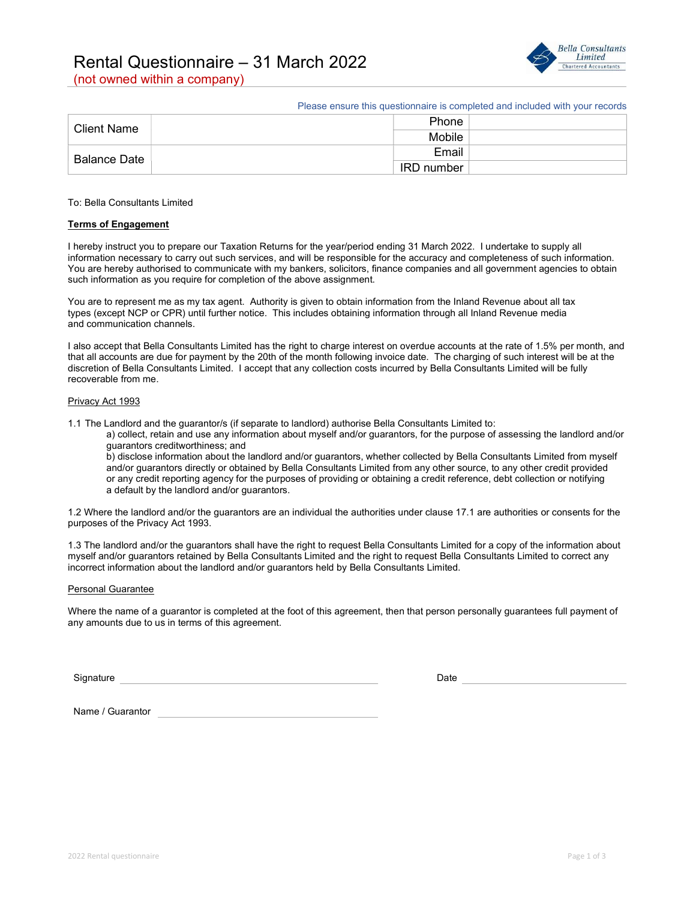# Rental Questionnaire – 31 March 2022





Please ensure this questionnaire is completed and included with your records

| <b>Client Name</b> | Phone      |  |
|--------------------|------------|--|
|                    | Mobile     |  |
| Balance Date       | Email      |  |
|                    | IRD number |  |

#### To: Bella Consultants Limited

#### Terms of Engagement

I hereby instruct you to prepare our Taxation Returns for the year/period ending 31 March 2022. I undertake to supply all information necessary to carry out such services, and will be responsible for the accuracy and completeness of such information. You are hereby authorised to communicate with my bankers, solicitors, finance companies and all government agencies to obtain such information as you require for completion of the above assignment.

You are to represent me as my tax agent. Authority is given to obtain information from the Inland Revenue about all tax types (except NCP or CPR) until further notice. This includes obtaining information through all Inland Revenue media and communication channels.

I also accept that Bella Consultants Limited has the right to charge interest on overdue accounts at the rate of 1.5% per month, and that all accounts are due for payment by the 20th of the month following invoice date. The charging of such interest will be at the discretion of Bella Consultants Limited. I accept that any collection costs incurred by Bella Consultants Limited will be fully recoverable from me.

#### Privacy Act 1993

1.1 The Landlord and the guarantor/s (if separate to landlord) authorise Bella Consultants Limited to:

 a) collect, retain and use any information about myself and/or guarantors, for the purpose of assessing the landlord and/or guarantors creditworthiness; and

 b) disclose information about the landlord and/or guarantors, whether collected by Bella Consultants Limited from myself and/or guarantors directly or obtained by Bella Consultants Limited from any other source, to any other credit provided or any credit reporting agency for the purposes of providing or obtaining a credit reference, debt collection or notifying a default by the landlord and/or guarantors.

1.2 Where the landlord and/or the guarantors are an individual the authorities under clause 17.1 are authorities or consents for the purposes of the Privacy Act 1993.

1.3 The landlord and/or the guarantors shall have the right to request Bella Consultants Limited for a copy of the information about myself and/or guarantors retained by Bella Consultants Limited and the right to request Bella Consultants Limited to correct any incorrect information about the landlord and/or guarantors held by Bella Consultants Limited.

### Personal Guarantee

Where the name of a guarantor is completed at the foot of this agreement, then that person personally guarantees full payment of any amounts due to us in terms of this agreement.

Signature Date Date of the Date of the Date of the Date of the Date of the Date of the Date of the Date of the

Name / Guarantor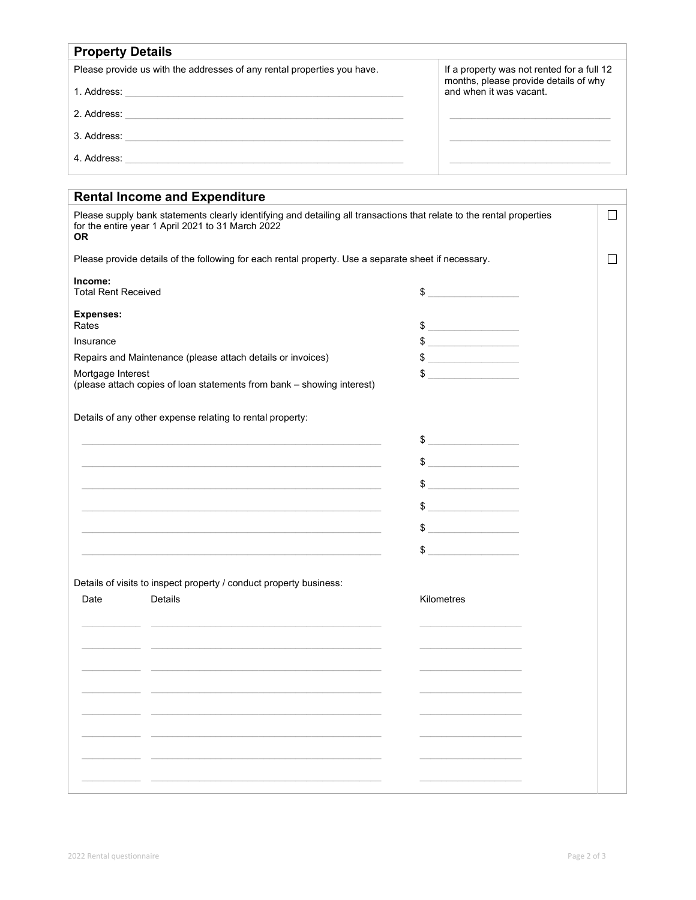| <b>Property Details</b>                                                 |                                                                                     |  |  |  |
|-------------------------------------------------------------------------|-------------------------------------------------------------------------------------|--|--|--|
| Please provide us with the addresses of any rental properties you have. | If a property was not rented for a full 12<br>months, please provide details of why |  |  |  |
| 1. Address:                                                             | and when it was vacant.                                                             |  |  |  |
| 2. Address:                                                             |                                                                                     |  |  |  |
| 3. Address:                                                             |                                                                                     |  |  |  |
| 4. Address:                                                             |                                                                                     |  |  |  |

|                                       | <b>Rental Income and Expenditure</b>                                                                                                                                       |                                                                                                                                                                                                                                                                                                                                                                                                                          |        |
|---------------------------------------|----------------------------------------------------------------------------------------------------------------------------------------------------------------------------|--------------------------------------------------------------------------------------------------------------------------------------------------------------------------------------------------------------------------------------------------------------------------------------------------------------------------------------------------------------------------------------------------------------------------|--------|
| <b>OR</b>                             | Please supply bank statements clearly identifying and detailing all transactions that relate to the rental properties<br>for the entire year 1 April 2021 to 31 March 2022 |                                                                                                                                                                                                                                                                                                                                                                                                                          | $\Box$ |
|                                       | Please provide details of the following for each rental property. Use a separate sheet if necessary.                                                                       |                                                                                                                                                                                                                                                                                                                                                                                                                          | $\Box$ |
| Income:<br><b>Total Rent Received</b> |                                                                                                                                                                            | $\qquad \qquad \$$                                                                                                                                                                                                                                                                                                                                                                                                       |        |
| <b>Expenses:</b><br>Rates             |                                                                                                                                                                            | $\begin{array}{c c c c c} \hline \texttt{S} & \texttt{S} & \texttt{S} & \texttt{S} & \texttt{S} & \texttt{S} & \texttt{S} & \texttt{S} & \texttt{S} & \texttt{S} & \texttt{S} & \texttt{S} & \texttt{S} & \texttt{S} & \texttt{S} & \texttt{S} & \texttt{S} & \texttt{S} & \texttt{S} & \texttt{S} & \texttt{S} & \texttt{S} & \texttt{S} & \texttt{S} & \texttt{S} & \texttt{S} & \texttt{S} & \texttt{S} & \texttt{S}$ |        |
| Insurance                             |                                                                                                                                                                            | $\frac{1}{2}$                                                                                                                                                                                                                                                                                                                                                                                                            |        |
|                                       | Repairs and Maintenance (please attach details or invoices)                                                                                                                | $\frac{1}{2}$                                                                                                                                                                                                                                                                                                                                                                                                            |        |
| Mortgage Interest                     | (please attach copies of loan statements from bank - showing interest)                                                                                                     |                                                                                                                                                                                                                                                                                                                                                                                                                          |        |
|                                       | Details of any other expense relating to rental property:                                                                                                                  |                                                                                                                                                                                                                                                                                                                                                                                                                          |        |
|                                       |                                                                                                                                                                            | $\frac{1}{2}$                                                                                                                                                                                                                                                                                                                                                                                                            |        |
|                                       |                                                                                                                                                                            | $\frac{1}{2}$                                                                                                                                                                                                                                                                                                                                                                                                            |        |
|                                       |                                                                                                                                                                            | $\begin{picture}(20,10) \put(0,0){\vector(1,0){100}} \put(15,0){\vector(1,0){100}} \put(15,0){\vector(1,0){100}} \put(15,0){\vector(1,0){100}} \put(15,0){\vector(1,0){100}} \put(15,0){\vector(1,0){100}} \put(15,0){\vector(1,0){100}} \put(15,0){\vector(1,0){100}} \put(15,0){\vector(1,0){100}} \put(15,0){\vector(1,0){100}} \put(15,0){\vector(1,0){100}} \$                                                      |        |
|                                       |                                                                                                                                                                            | $\frac{1}{2}$                                                                                                                                                                                                                                                                                                                                                                                                            |        |
|                                       |                                                                                                                                                                            | $\begin{array}{c c c c c} \hline \texttt{S} & \texttt{S} & \texttt{S} & \texttt{S} & \texttt{S} & \texttt{S} & \texttt{S} & \texttt{S} & \texttt{S} & \texttt{S} & \texttt{S} & \texttt{S} & \texttt{S} & \texttt{S} & \texttt{S} & \texttt{S} & \texttt{S} & \texttt{S} & \texttt{S} & \texttt{S} & \texttt{S} & \texttt{S} & \texttt{S} & \texttt{S} & \texttt{S} & \texttt{S} & \texttt{S} & \texttt{S} & \texttt{S}$ |        |
|                                       |                                                                                                                                                                            | $\frac{1}{2}$                                                                                                                                                                                                                                                                                                                                                                                                            |        |
| Date                                  | Details of visits to inspect property / conduct property business:<br>Details                                                                                              | Kilometres                                                                                                                                                                                                                                                                                                                                                                                                               |        |
|                                       |                                                                                                                                                                            |                                                                                                                                                                                                                                                                                                                                                                                                                          |        |
|                                       |                                                                                                                                                                            |                                                                                                                                                                                                                                                                                                                                                                                                                          |        |
|                                       |                                                                                                                                                                            |                                                                                                                                                                                                                                                                                                                                                                                                                          |        |
|                                       |                                                                                                                                                                            |                                                                                                                                                                                                                                                                                                                                                                                                                          |        |
|                                       |                                                                                                                                                                            |                                                                                                                                                                                                                                                                                                                                                                                                                          |        |